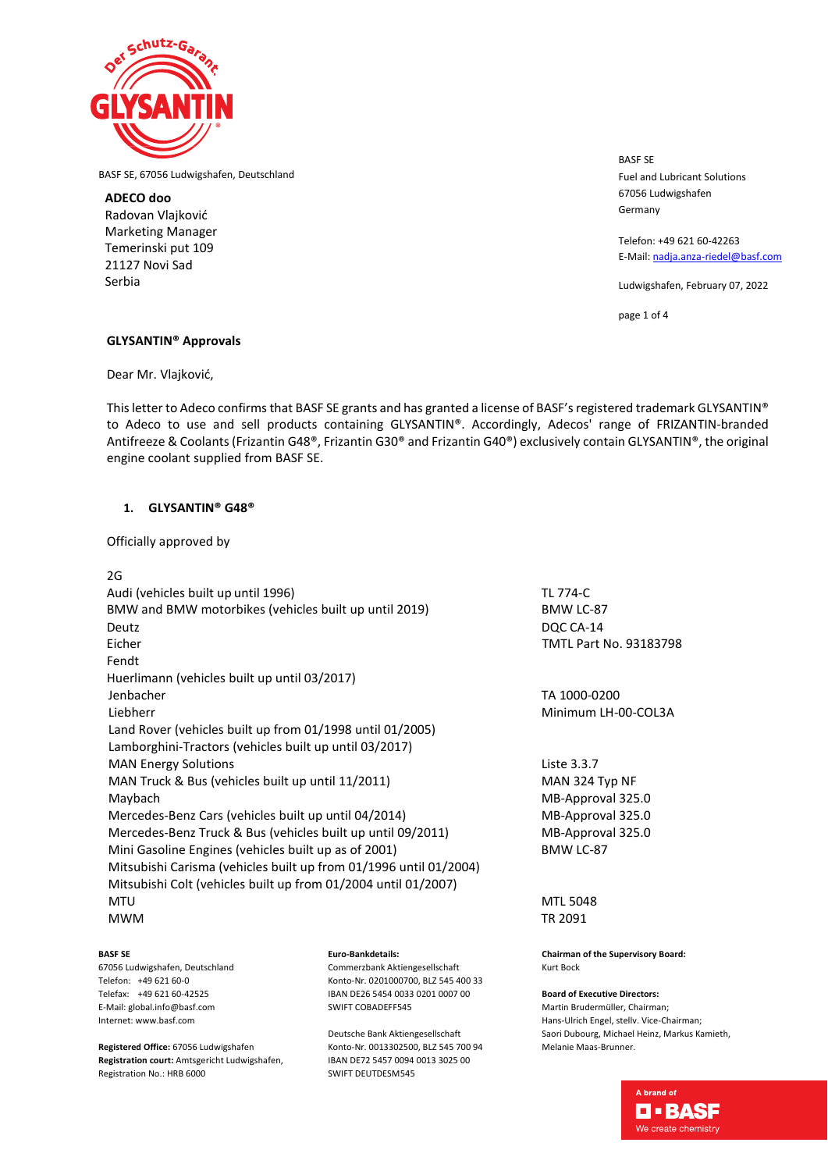

BASF SE, 67056 Ludwigshafen, Deutschland

**ADECO doo** Radovan Vlajković Marketing Manager Temerinski put 109 21127 Novi Sad Serbia

BASF SE Fuel and Lubricant Solutions 67056 Ludwigshafen Germany

Telefon: +49 621 60-42263 E-Mail[: nadja.anza-riedel@basf.com](mailto:nadja.anza-riedel@basf.com)

Ludwigshafen, February 07, 2022

page 1 of 4

# **GLYSANTIN® Approvals**

Dear Mr. Vlajković,

This letter to Adeco confirms that BASF SE grants and has granted a license of BASF's registered trademark GLYSANTIN® to Adeco to use and sell products containing GLYSANTIN®. Accordingly, Adecos' range of FRIZANTIN-branded Antifreeze & Coolants (Frizantin G48®, Frizantin G30® and Frizantin G40®) exclusively contain GLYSANTIN®, the original engine coolant supplied from BASF SE.

# **1. GLYSANTIN® G48®**

Officially approved by

# 2G

| Audi (vehicles built up until 1996)                               | TL 774-C         |
|-------------------------------------------------------------------|------------------|
| BMW and BMW motorbikes (vehicles built up until 2019)             | <b>BMW LC-8</b>  |
| Deutz                                                             | DQC CA-1         |
| Eicher                                                            | <b>TMTL Part</b> |
| Fendt                                                             |                  |
| Huerlimann (vehicles built up until 03/2017)                      |                  |
| Jenbacher                                                         | TA 1000-0        |
| Liebherr                                                          | Minimum          |
| Land Rover (vehicles built up from 01/1998 until 01/2005)         |                  |
| Lamborghini-Tractors (vehicles built up until 03/2017)            |                  |
| <b>MAN Energy Solutions</b>                                       | Liste 3.3.7      |
| MAN Truck & Bus (vehicles built up until 11/2011)                 | <b>MAN 324</b>   |
| Maybach                                                           | MB-Appro         |
| Mercedes-Benz Cars (vehicles built up until 04/2014)              | MB-Appro         |
| Mercedes-Benz Truck & Bus (vehicles built up until 09/2011)       | MB-Appro         |
| Mini Gasoline Engines (vehicles built up as of 2001)              | <b>BMW LC-8</b>  |
| Mitsubishi Carisma (vehicles built up from 01/1996 until 01/2004) |                  |
| Mitsubishi Colt (vehicles built up from 01/2004 until 01/2007)    |                  |
| <b>MTU</b>                                                        | <b>MTL 5048</b>  |
| <b>MWM</b>                                                        | TR 2091          |

**BASF SE** 67056 Ludwigshafen, Deutschland Telefon: +49 621 60-0 Telefax: +49 621 60-42525 E-Mail: global.info@basf.com Internet: www.basf.com

**Registered Office:** 67056 Ludwigshafen **Registration court:** Amtsgericht Ludwigshafen, Registration No.: HRB 6000

### **Euro-Bankdetails:**

Commerzbank Aktiengesellschaft Konto-Nr. 0201000700, BLZ 545 400 33 IBAN DE26 5454 0033 0201 0007 00 SWIFT COBADEFF545

Deutsche Bank Aktiengesellschaft Konto-Nr. 0013302500, BLZ 545 700 94 IBAN DE72 5457 0094 0013 3025 00 SWIFT DEUTDESM545

BMW LC-87 DQC CA-14 TMTL Part No. 93183798

TA 1000-0200 Minimum LH-00-COL3A

MAN 324 Typ NF MB-Approval 325.0 MB-Approval 325.0 MB-Approval 325.0 BMW LC-87

**Chairman of the Supervisory Board:** Kurt Bock

**Board of Executive Directors:** Martin Brudermüller, Chairman; Hans-Ulrich Engel, stellv. Vice-Chairman; Saori Dubourg, Michael Heinz, Markus Kamieth, Melanie Maas-Brunner.

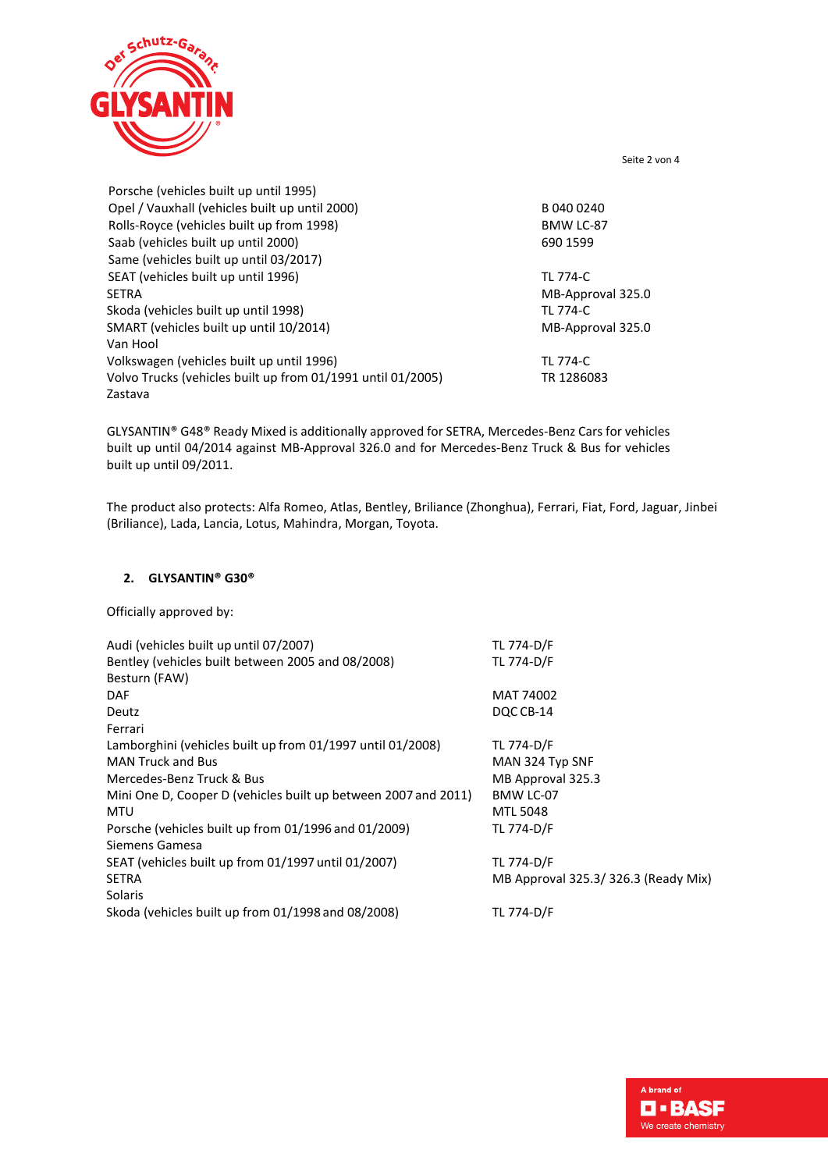

Seite 2 von 4

| Porsche (vehicles built up until 1995)                      |                   |
|-------------------------------------------------------------|-------------------|
| Opel / Vauxhall (vehicles built up until 2000)              | B 040 0240        |
| Rolls-Royce (vehicles built up from 1998)                   | BMW LC-87         |
| Saab (vehicles built up until 2000)                         | 690 1599          |
| Same (vehicles built up until 03/2017)                      |                   |
| SEAT (vehicles built up until 1996)                         | TL 774-C          |
| <b>SETRA</b>                                                | MB-Approval 325.0 |
| Skoda (vehicles built up until 1998)                        | <b>TL 774-C</b>   |
| SMART (vehicles built up until 10/2014)                     | MB-Approval 325.0 |
| Van Hool                                                    |                   |
| Volkswagen (vehicles built up until 1996)                   | TL 774-C          |
| Volvo Trucks (vehicles built up from 01/1991 until 01/2005) | TR 1286083        |
| Zastava                                                     |                   |

GLYSANTIN® G48® Ready Mixed is additionally approved for SETRA, Mercedes-Benz Cars for vehicles built up until 04/2014 against MB-Approval 326.0 and for Mercedes-Benz Truck & Bus for vehicles built up until 09/2011.

The product also protects: Alfa Romeo, Atlas, Bentley, Briliance (Zhonghua), Ferrari, Fiat, Ford, Jaguar, Jinbei (Briliance), Lada, Lancia, Lotus, Mahindra, Morgan, Toyota.

## **2. GLYSANTIN® G30®**

Officially approved by:

| Audi (vehicles built up until 07/2007)                         | TL 774-D/F                          |
|----------------------------------------------------------------|-------------------------------------|
| Bentley (vehicles built between 2005 and 08/2008)              | TL 774-D/F                          |
| Besturn (FAW)                                                  |                                     |
| <b>DAF</b>                                                     | MAT 74002                           |
| Deutz                                                          | DQC CB-14                           |
| Ferrari                                                        |                                     |
| Lamborghini (vehicles built up from 01/1997 until 01/2008)     | TL 774-D/F                          |
| <b>MAN Truck and Bus</b>                                       | MAN 324 Typ SNF                     |
| Mercedes-Benz Truck & Bus                                      | MB Approval 325.3                   |
| Mini One D, Cooper D (vehicles built up between 2007 and 2011) | BMW LC-07                           |
| MTU                                                            | <b>MTL 5048</b>                     |
| Porsche (vehicles built up from 01/1996 and 01/2009)           | TL 774-D/F                          |
| Siemens Gamesa                                                 |                                     |
| SEAT (vehicles built up from 01/1997 until 01/2007)            | TL 774-D/F                          |
| <b>SETRA</b>                                                   | MB Approval 325.3/326.3 (Ready Mix) |
| <b>Solaris</b>                                                 |                                     |
| Skoda (vehicles built up from 01/1998 and 08/2008)             | TL 774-D/F                          |
|                                                                |                                     |

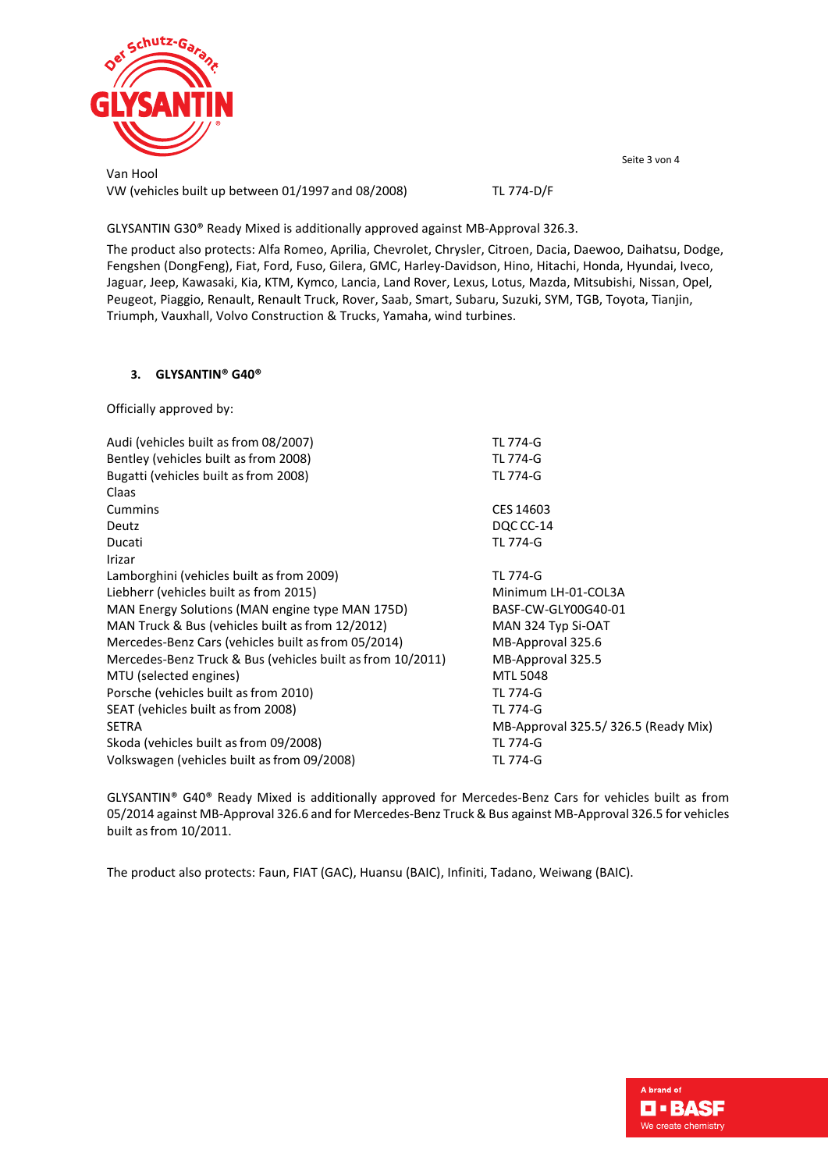

Van Hool VW (vehicles built up between 01/1997 and 08/2008) TL 774-D/F Seite 3 von 4

GLYSANTIN G30® Ready Mixed is additionally approved against MB-Approval 326.3.

The product also protects: Alfa Romeo, Aprilia, Chevrolet, Chrysler, Citroen, Dacia, Daewoo, Daihatsu, Dodge, Fengshen (DongFeng), Fiat, Ford, Fuso, Gilera, GMC, Harley-Davidson, Hino, Hitachi, Honda, Hyundai, Iveco, Jaguar, Jeep, Kawasaki, Kia, KTM, Kymco, Lancia, Land Rover, Lexus, Lotus, Mazda, Mitsubishi, Nissan, Opel, Peugeot, Piaggio, Renault, Renault Truck, Rover, Saab, Smart, Subaru, Suzuki, SYM, TGB, Toyota, Tianjin, Triumph, Vauxhall, Volvo Construction & Trucks, Yamaha, wind turbines.

# **3. GLYSANTIN® G40®**

Officially approved by:

| Audi (vehicles built as from 08/2007)                      | <b>TL 774-G</b>                     |
|------------------------------------------------------------|-------------------------------------|
| Bentley (vehicles built as from 2008)                      | <b>TL 774-G</b>                     |
| Bugatti (vehicles built as from 2008)                      | <b>TL 774-G</b>                     |
| Claas                                                      |                                     |
| Cummins                                                    | CES 14603                           |
| Deutz                                                      | DQC CC-14                           |
| Ducati                                                     | TL 774-G                            |
| Irizar                                                     |                                     |
| Lamborghini (vehicles built as from 2009)                  | <b>TL 774-G</b>                     |
| Liebherr (vehicles built as from 2015)                     | Minimum LH-01-COL3A                 |
| MAN Energy Solutions (MAN engine type MAN 175D)            | BASF-CW-GLY00G40-01                 |
| MAN Truck & Bus (vehicles built as from 12/2012)           | MAN 324 Typ Si-OAT                  |
| Mercedes-Benz Cars (vehicles built as from 05/2014)        | MB-Approval 325.6                   |
| Mercedes-Benz Truck & Bus (vehicles built as from 10/2011) | MB-Approval 325.5                   |
| MTU (selected engines)                                     | <b>MTL 5048</b>                     |
| Porsche (vehicles built as from 2010)                      | <b>TL 774-G</b>                     |
| SEAT (vehicles built as from 2008)                         | TL 774-G                            |
| <b>SETRA</b>                                               | MB-Approval 325.5/326.5 (Ready Mix) |
| Skoda (vehicles built as from 09/2008)                     | <b>TL 774-G</b>                     |
| Volkswagen (vehicles built as from 09/2008)                | TL 774-G                            |
|                                                            |                                     |

GLYSANTIN® G40® Ready Mixed is additionally approved for Mercedes-Benz Cars for vehicles built as from 05/2014 against MB-Approval 326.6 and for Mercedes-Benz Truck & Bus against MB-Approval 326.5 for vehicles built as from 10/2011.

The product also protects: Faun, FIAT (GAC), Huansu (BAIC), Infiniti, Tadano, Weiwang (BAIC).